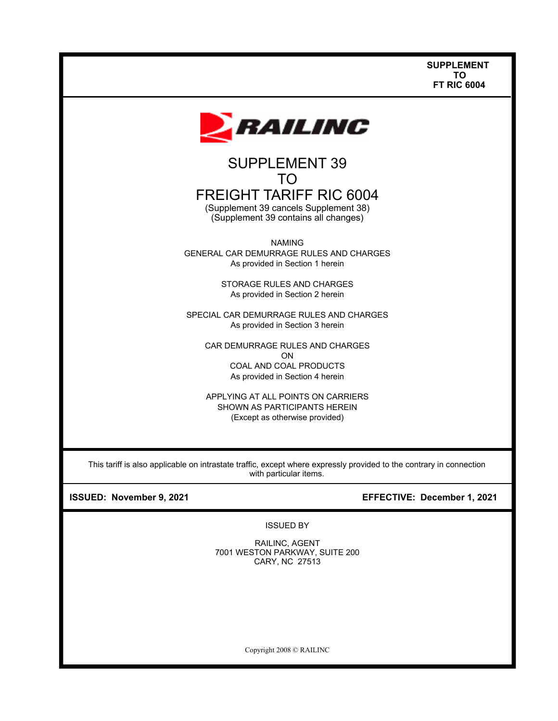

# TO FREIGHT TARIFF RIC 6004

(Supplement 39 cancels Supplement 38) (Supplement 39 contains all changes)

NAMING GENERAL CAR DEMURRAGE RULES AND CHARGES As provided in Section 1 herein

> STORAGE RULES AND CHARGES As provided in Section 2 herein

SPECIAL CAR DEMURRAGE RULES AND CHARGES As provided in Section 3 herein

CAR DEMURRAGE RULES AND CHARGES ON COAL AND COAL PRODUCTS As provided in Section 4 herein

APPLYING AT ALL POINTS ON CARRIERS SHOWN AS PARTICIPANTS HEREIN (Except as otherwise provided)

This tariff is also applicable on intrastate traffic, except where expressly provided to the contrary in connection with particular items.

# **ISSUED: November 9, 2021 EFFECTIVE: December 1, 2021**

ISSUED BY

RAILINC, AGENT 7001 WESTON PARKWAY, SUITE 200 CARY, NC 27513

Copyright 2008 © RAILINC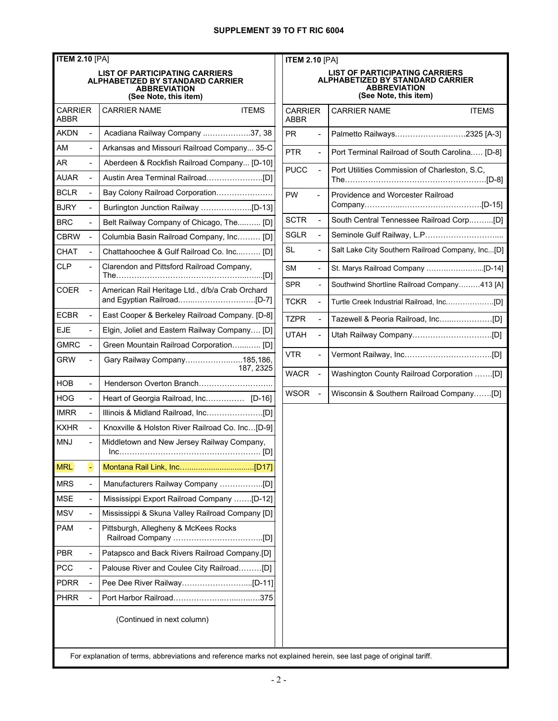| <b>ITEM 2.10 [PA]</b>  |                          |                                                                                                                    |              | <b>ITEM 2.10</b>          |  |
|------------------------|--------------------------|--------------------------------------------------------------------------------------------------------------------|--------------|---------------------------|--|
|                        |                          | LIST OF PARTICIPATING CARRIERS<br>ALPHABETIZED BY STANDARD CARRIER<br><b>ABBREVIATION</b><br>(See Note, this item) |              |                           |  |
| <b>CARRIFR</b><br>ABBR |                          | <b>CARRIER NAME</b>                                                                                                | <b>ITEMS</b> | <b>CARRIER</b><br>ABBR    |  |
| AKDN                   | ä,                       | Acadiana Railway Company 37, 38                                                                                    |              | <b>PR</b>                 |  |
| AM                     |                          | Arkansas and Missouri Railroad Company 35-C                                                                        |              | <b>PTR</b>                |  |
| AR                     |                          | Aberdeen & Rockfish Railroad Company [D-10]                                                                        |              | <b>PUCC</b>               |  |
| <b>AUAR</b>            | $\overline{\phantom{a}}$ |                                                                                                                    |              |                           |  |
| <b>BCLR</b>            | ä,                       | Bay Colony Railroad Corporation                                                                                    |              | <b>PW</b>                 |  |
| <b>BJRY</b>            | L,                       | Burlington Junction Railway [D-13]                                                                                 |              |                           |  |
| <b>BRC</b>             | ä,                       | Belt Railway Company of Chicago, The [D]                                                                           |              | <b>SCTR</b>               |  |
| <b>CBRW</b>            |                          | Columbia Basin Railroad Company, Inc [D]                                                                           |              | SGLR                      |  |
| CHAT                   | $\overline{\phantom{a}}$ | Chattahoochee & Gulf Railroad Co. Inc IDI                                                                          |              | SL                        |  |
| CLP                    |                          | Clarendon and Pittsford Railroad Company,                                                                          |              | <b>SM</b>                 |  |
| COER                   | $\overline{\phantom{0}}$ | American Rail Heritage Ltd., d/b/a Crab Orchard                                                                    |              | <b>SPR</b><br><b>TCKR</b> |  |
| <b>ECBR</b>            | $\overline{a}$           | East Cooper & Berkeley Railroad Company. [D-8]                                                                     |              |                           |  |
| EJE                    | ä,                       | Elgin, Joliet and Eastern Railway Company [D]                                                                      |              | <b>TZPR</b>               |  |
| <b>GMRC</b>            |                          | Green Mountain Railroad Corporation [D]                                                                            |              | <b>UTAH</b>               |  |
| <b>GRW</b>             |                          | Gary Railway Company185,186,                                                                                       | 187, 2325    | <b>VTR</b>                |  |
| HOB                    |                          | Henderson Overton Branch                                                                                           |              | <b>WACR</b>               |  |
| HOG                    |                          | Heart of Georgia Railroad, Inc [D-16]                                                                              |              | WSOR                      |  |
| <b>IMRR</b>            | ÷,                       |                                                                                                                    |              |                           |  |
| <b>KXHR</b>            | $\overline{a}$           | Knoxville & Holston River Railroad Co. Inc[D-9]                                                                    |              |                           |  |
| <b>MNJ</b>             |                          | Middletown and New Jersey Railway Company,                                                                         |              |                           |  |
| <b>MRL</b>             | ۰                        |                                                                                                                    |              |                           |  |
| <b>MRS</b>             | $\overline{\phantom{0}}$ |                                                                                                                    |              |                           |  |
| MSE                    | $\overline{\phantom{0}}$ | Mississippi Export Railroad Company [D-12]                                                                         |              |                           |  |
| MSV                    | $\overline{\phantom{0}}$ | Mississippi & Skuna Valley Railroad Company [D]                                                                    |              |                           |  |
| <b>PAM</b>             | $\overline{a}$           | Pittsburgh, Allegheny & McKees Rocks                                                                               |              |                           |  |
| <b>PBR</b>             | $\overline{\phantom{0}}$ | Patapsco and Back Rivers Railroad Company.[D]                                                                      |              |                           |  |
| <b>PCC</b>             | $\overline{\phantom{0}}$ | Palouse River and Coulee City Railroad[D]                                                                          |              |                           |  |
| <b>PDRR</b>            |                          |                                                                                                                    |              |                           |  |
| <b>PHRR</b>            |                          |                                                                                                                    |              |                           |  |
|                        |                          | (Continued in next column)                                                                                         |              |                           |  |

| <b>ITEM 2.10 [PA]</b>                                                                                              |                |                                                                                   |
|--------------------------------------------------------------------------------------------------------------------|----------------|-----------------------------------------------------------------------------------|
| LIST OF PARTICIPATING CARRIERS<br>ALPHABETIZED BY STANDARD CARRIER<br><b>ABBREVIATION</b><br>(See Note, this item) |                |                                                                                   |
| <b>CARRIER</b><br><b>ABBR</b>                                                                                      |                | <b>ITEMS</b><br><b>CARRIER NAME</b>                                               |
| PR.                                                                                                                |                | Palmetto Railways2325 [A-3]                                                       |
| <b>PTR</b>                                                                                                         | ÷,             | Port Terminal Railroad of South Carolina [D-8]                                    |
| <b>PUCC</b>                                                                                                        |                | Port Utilities Commission of Charleston, S.C,<br>The………………………………………………………………[D-8] |
| <b>PW</b>                                                                                                          |                | Providence and Worcester Railroad                                                 |
| <b>SCTR</b>                                                                                                        | L,             | South Central Tennessee Railroad Corp[D]                                          |
| <b>SGLR</b>                                                                                                        |                | Seminole Gulf Railway, L.P                                                        |
| SL                                                                                                                 | $\blacksquare$ | Salt Lake City Southern Railroad Company, Inc[D]                                  |
| <b>SM</b>                                                                                                          | $\overline{a}$ |                                                                                   |
| <b>SPR</b>                                                                                                         | $\overline{a}$ | Southwind Shortline Railroad Company413 [A]                                       |
| <b>TCKR</b>                                                                                                        | L,             |                                                                                   |
| <b>TZPR</b>                                                                                                        | ä,             |                                                                                   |
| <b>UTAH</b>                                                                                                        | ÷,             |                                                                                   |
| <b>VTR</b>                                                                                                         | ÷,             |                                                                                   |
| <b>WACR</b>                                                                                                        | ÷,             | Washington County Railroad Corporation [D]                                        |
| <b>WSOR</b>                                                                                                        | ÷,             | Wisconsin & Southern Railroad Company[D]                                          |
|                                                                                                                    |                |                                                                                   |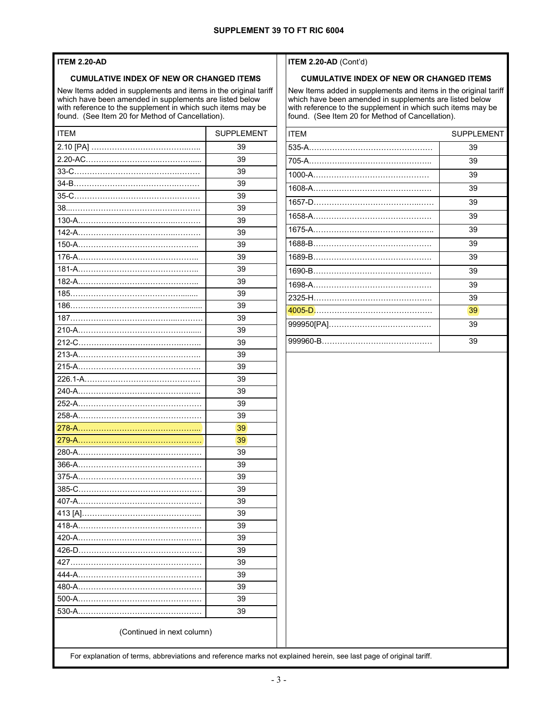#### **ITEM 2.20-AD**

#### **CUMULATIVE INDEX OF NEW OR CHANGED ITEMS**

New Items added in supplements and items in the original tariff which have been amended in supplements are listed below with reference to the supplement in which such items may be found. (See Item 20 for Method of Cancellation).

| <b>ITEM</b>                | <b>SUPPLEMENT</b> |  |
|----------------------------|-------------------|--|
|                            | 39                |  |
|                            | 39                |  |
|                            | 39                |  |
|                            | 39                |  |
|                            | 39                |  |
|                            | 39                |  |
|                            | 39                |  |
|                            | 39                |  |
|                            | 39                |  |
|                            | 39                |  |
|                            | 39                |  |
|                            | 39                |  |
|                            | 39                |  |
|                            | 39                |  |
|                            | 39                |  |
|                            | 39                |  |
|                            | 39                |  |
|                            | 39                |  |
|                            | 39                |  |
|                            | 39                |  |
|                            | 39                |  |
|                            | 39                |  |
|                            | 39                |  |
|                            | 39                |  |
|                            | 39                |  |
|                            | 39                |  |
|                            | 39                |  |
| 375-A………………………………………………    | 39                |  |
|                            | 39                |  |
|                            | 39                |  |
|                            | 39                |  |
|                            | 39                |  |
|                            | 39                |  |
|                            | 39                |  |
|                            | 39                |  |
|                            | 39                |  |
|                            | 39                |  |
|                            | 39                |  |
| 530-A…………………………………………      | 39                |  |
| (Continued in next column) |                   |  |

#### **ITEM 2.20-AD** (Cont'd)

#### **CUMULATIVE INDEX OF NEW OR CHANGED ITEMS**

New Items added in supplements and items in the original tariff which have been amended in supplements are listed below with reference to the supplement in which such items may be found. (See Item 20 for Method of Cancellation).

| <b>ITEM</b>                                                                | <b>SUPPLEMENT</b> |
|----------------------------------------------------------------------------|-------------------|
|                                                                            | 39                |
|                                                                            | 39                |
|                                                                            | 39                |
|                                                                            | 39                |
| the control of the control of the control of the control of the control of | 39                |
|                                                                            | 39                |
|                                                                            | 39                |
|                                                                            | 39                |
|                                                                            | 39                |
|                                                                            | 39                |
|                                                                            | 39                |
|                                                                            | 39                |
|                                                                            | 39                |
|                                                                            | 39                |
|                                                                            | 39                |
|                                                                            |                   |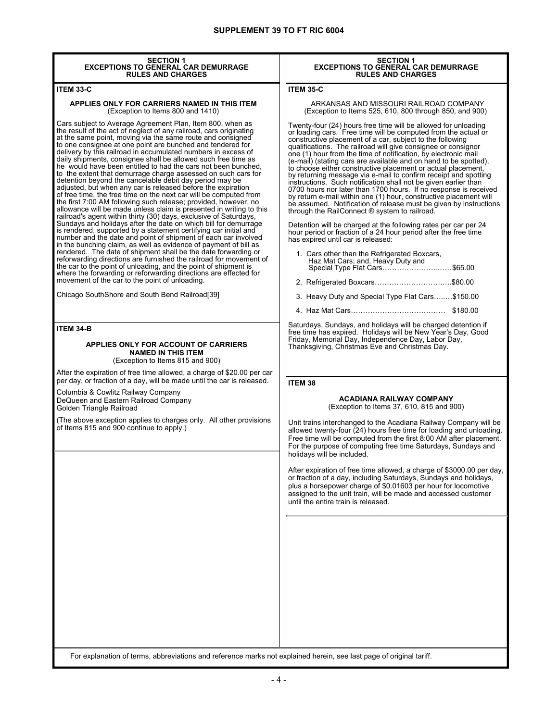| <b>SECTION 1</b><br><b>EXCEPTIONS TO GENERAL CAR DEMURRAGE</b><br><b>RULES AND CHARGES</b>                                                                                                                                                                                                                                                                                                                                                                                                                                                                                                                                                                                                                                                                                                                                                                                                                                                                                                                                                                                                                                                                                                                                                                                                                                                                                                                                                                                                                                                                                                                     | <b>SECTION 1</b><br><b>EXCEPTIONS TO GENERAL CAR DEMURRAGE</b><br><b>RULES AND CHARGES</b>                                                                                                                                                                                                                                                                                                                                                                                                                                                                                                                                                                                                                                                                                                                                                                                                                                                                                                                                                                                                                                                                                                                                                                                  |
|----------------------------------------------------------------------------------------------------------------------------------------------------------------------------------------------------------------------------------------------------------------------------------------------------------------------------------------------------------------------------------------------------------------------------------------------------------------------------------------------------------------------------------------------------------------------------------------------------------------------------------------------------------------------------------------------------------------------------------------------------------------------------------------------------------------------------------------------------------------------------------------------------------------------------------------------------------------------------------------------------------------------------------------------------------------------------------------------------------------------------------------------------------------------------------------------------------------------------------------------------------------------------------------------------------------------------------------------------------------------------------------------------------------------------------------------------------------------------------------------------------------------------------------------------------------------------------------------------------------|-----------------------------------------------------------------------------------------------------------------------------------------------------------------------------------------------------------------------------------------------------------------------------------------------------------------------------------------------------------------------------------------------------------------------------------------------------------------------------------------------------------------------------------------------------------------------------------------------------------------------------------------------------------------------------------------------------------------------------------------------------------------------------------------------------------------------------------------------------------------------------------------------------------------------------------------------------------------------------------------------------------------------------------------------------------------------------------------------------------------------------------------------------------------------------------------------------------------------------------------------------------------------------|
| <b>ITEM 33-C</b>                                                                                                                                                                                                                                                                                                                                                                                                                                                                                                                                                                                                                                                                                                                                                                                                                                                                                                                                                                                                                                                                                                                                                                                                                                                                                                                                                                                                                                                                                                                                                                                               | <b>ITEM 35-C</b>                                                                                                                                                                                                                                                                                                                                                                                                                                                                                                                                                                                                                                                                                                                                                                                                                                                                                                                                                                                                                                                                                                                                                                                                                                                            |
| APPLIES ONLY FOR CARRIERS NAMED IN THIS ITEM<br>(Exception to Items 800 and 1410)                                                                                                                                                                                                                                                                                                                                                                                                                                                                                                                                                                                                                                                                                                                                                                                                                                                                                                                                                                                                                                                                                                                                                                                                                                                                                                                                                                                                                                                                                                                              | ARKANSAS AND MISSOURI RAILROAD COMPANY<br>(Exception to Items 525, 610, 800 through 850, and 900)                                                                                                                                                                                                                                                                                                                                                                                                                                                                                                                                                                                                                                                                                                                                                                                                                                                                                                                                                                                                                                                                                                                                                                           |
| Cars subject to Average Agreement Plan, Item 800, when as<br>the result of the act of neglect of any railroad, cars originating<br>at the same point, moving via the same route and consigned<br>to one consignee at one point are bunched and tendered for<br>delivery by this railroad in accumulated numbers in excess of<br>daily shipments, consignee shall be allowed such free time as<br>he would have been entitled to had the cars not been bunched,<br>to the extent that demurrage charge assessed on such cars for<br>detention beyond the cancelable debit day period may be<br>adjusted, but when any car is released before the expiration<br>of free time, the free time on the next car will be computed from<br>the first 7:00 AM following such release; provided, however, no<br>allowance will be made unless claim is presented in writing to this<br>railroad's agent within thirty (30) days, exclusive of Saturdays,<br>Sundays and holidays after the date on which bill for demurrage<br>is rendered, supported by a statement certifying car initial and<br>number and the date and point of shipment of each car involved<br>in the bunching claim, as well as evidence of payment of bill as<br>rendered. The date of shipment shall be the date forwarding or<br>reforwarding directions are furnished the railroad for movement of<br>the car to the point of unloading, and the point of shipment is<br>where the forwarding or reforwarding directions are effected for<br>movement of the car to the point of unloading.<br>Chicago SouthShore and South Bend Railroad[39] | Twenty-four (24) hours free time will be allowed for unloading<br>or loading cars. Free time will be computed from the actual or<br>constructive placement of a car, subject to the following<br>qualifications. The railroad will give consignee or consignor<br>one (1) hour from the time of notification, by electronic mail<br>(e-mail) (stating cars are available and on hand to be spotted),<br>to choose either constructive placement or actual placement,<br>by returning message via e-mail to confirm receipt and spotting<br>instructions. Such notification shall not be given earlier than<br>0700 hours nor later than 1700 hours. If no response is received<br>by return e-mail within one (1) hour, constructive placement will<br>be assumed. Notification of release must be given by instructions<br>through the RailConnect $\circledR$ system to railroad.<br>Detention will be charged at the following rates per car per 24<br>hour period or fraction of a 24 hour period after the free time<br>has expired until car is released:<br>1. Cars other than the Refrigerated Boxcars,<br>Haz Mat Cars; and, Heavy Duty and<br>Special Type Flat Cars\$65.00<br>2. Refrigerated Boxcars\$80.00<br>3. Heavy Duty and Special Type Flat Cars\$150.00 |
|                                                                                                                                                                                                                                                                                                                                                                                                                                                                                                                                                                                                                                                                                                                                                                                                                                                                                                                                                                                                                                                                                                                                                                                                                                                                                                                                                                                                                                                                                                                                                                                                                |                                                                                                                                                                                                                                                                                                                                                                                                                                                                                                                                                                                                                                                                                                                                                                                                                                                                                                                                                                                                                                                                                                                                                                                                                                                                             |
| ITEM 34-B<br>APPLIES ONLY FOR ACCOUNT OF CARRIERS<br><b>NAMED IN THIS ITEM</b><br>(Exception to Items 815 and 900)<br>After the expiration of free time allowed, a charge of \$20.00 per car<br>per day, or fraction of a day, will be made until the car is released.                                                                                                                                                                                                                                                                                                                                                                                                                                                                                                                                                                                                                                                                                                                                                                                                                                                                                                                                                                                                                                                                                                                                                                                                                                                                                                                                         | Saturdays, Sundays, and holidays will be charged detention if<br>free time has expired. Holidays will be New Year's Day, Good<br>Friday, Memorial Day, Independence Day, Labor Day,<br>Thanksgiving, Christmas Eve and Christmas Day.<br>ITEM 38                                                                                                                                                                                                                                                                                                                                                                                                                                                                                                                                                                                                                                                                                                                                                                                                                                                                                                                                                                                                                            |
| Columbia & Cowlitz Railway Company<br>DeQueen and Eastern Railroad Company<br>Golden Triangle Railroad                                                                                                                                                                                                                                                                                                                                                                                                                                                                                                                                                                                                                                                                                                                                                                                                                                                                                                                                                                                                                                                                                                                                                                                                                                                                                                                                                                                                                                                                                                         | <b>ACADIANA RAILWAY COMPANY</b><br>(Exception to Items 37, 610, 815 and 900)                                                                                                                                                                                                                                                                                                                                                                                                                                                                                                                                                                                                                                                                                                                                                                                                                                                                                                                                                                                                                                                                                                                                                                                                |
| (The above exception applies to charges only. All other provisions<br>of Items 815 and 900 continue to apply.)                                                                                                                                                                                                                                                                                                                                                                                                                                                                                                                                                                                                                                                                                                                                                                                                                                                                                                                                                                                                                                                                                                                                                                                                                                                                                                                                                                                                                                                                                                 | Unit trains interchanged to the Acadiana Railway Company will be<br>allowed twenty-four (24) hours free time for loading and unloading.<br>Free time will be computed from the first 8:00 AM after placement.<br>For the purpose of computing free time Saturdays, Sundays and<br>holidays will be included.<br>After expiration of free time allowed, a charge of \$3000.00 per day,<br>or fraction of a day, including Saturdays, Sundays and holidays,<br>plus a horsepower charge of \$0.01603 per hour for locomotive<br>assigned to the unit train, will be made and accessed customer<br>until the entire train is released.                                                                                                                                                                                                                                                                                                                                                                                                                                                                                                                                                                                                                                         |
|                                                                                                                                                                                                                                                                                                                                                                                                                                                                                                                                                                                                                                                                                                                                                                                                                                                                                                                                                                                                                                                                                                                                                                                                                                                                                                                                                                                                                                                                                                                                                                                                                |                                                                                                                                                                                                                                                                                                                                                                                                                                                                                                                                                                                                                                                                                                                                                                                                                                                                                                                                                                                                                                                                                                                                                                                                                                                                             |

I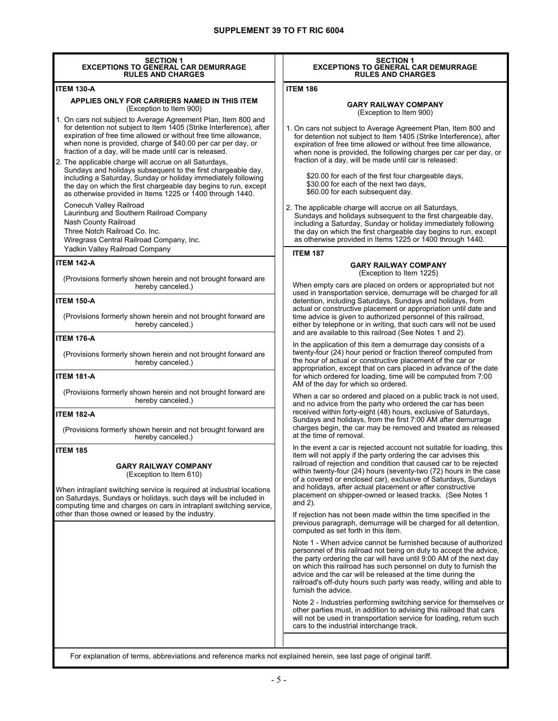| <b>SECTION 1</b><br><b>EXCEPTIONS TO GENERAL CAR DEMURRAGE</b><br><b>RULES AND CHARGES</b>                                                                                                                                                                                                                                                                                                                                                                   | <b>SECTION 1</b><br><b>EXCEPTIONS TO GENERAL CAR DEMURRAGE</b><br><b>RULES AND CHARGES</b>                                                                                                                                                                                                                                                                                                                                                                                                    |
|--------------------------------------------------------------------------------------------------------------------------------------------------------------------------------------------------------------------------------------------------------------------------------------------------------------------------------------------------------------------------------------------------------------------------------------------------------------|-----------------------------------------------------------------------------------------------------------------------------------------------------------------------------------------------------------------------------------------------------------------------------------------------------------------------------------------------------------------------------------------------------------------------------------------------------------------------------------------------|
| <b>ITEM 130-A</b>                                                                                                                                                                                                                                                                                                                                                                                                                                            | <b>ITEM 186</b>                                                                                                                                                                                                                                                                                                                                                                                                                                                                               |
| APPLIES ONLY FOR CARRIERS NAMED IN THIS ITEM<br>(Exception to Item 900)                                                                                                                                                                                                                                                                                                                                                                                      | <b>GARY RAILWAY COMPANY</b><br>(Exception to Item 900)                                                                                                                                                                                                                                                                                                                                                                                                                                        |
| 1. On cars not subject to Average Agreement Plan, Item 800 and<br>for detention not subject to Item 1405 (Strike Interference), after<br>expiration of free time allowed or without free time allowance,<br>when none is provided, charge of \$40.00 per car per day, or<br>fraction of a day, will be made until car is released.<br>2. The applicable charge will accrue on all Saturdays,<br>Sundays and holidays subsequent to the first chargeable day, | 1. On cars not subject to Average Agreement Plan, Item 800 and<br>for detention not subject to Item 1405 (Strike Interference), after<br>expiration of free time allowed or without free time allowance,<br>when none is provided, the following charges per car per day, or<br>fraction of a day, will be made until car is released:                                                                                                                                                        |
| including a Saturday, Sunday or holiday immediately following<br>the day on which the first chargeable day begins to run, except<br>as otherwise provided in Items 1225 or 1400 through 1440.                                                                                                                                                                                                                                                                | \$20.00 for each of the first four chargeable days,<br>\$30.00 for each of the next two days,<br>\$60.00 for each subsequent day.                                                                                                                                                                                                                                                                                                                                                             |
| Conecuh Valley Railroad<br>Laurinburg and Southern Railroad Company<br>Nash County Railroad<br>Three Notch Railroad Co. Inc.<br>Wiregrass Central Railroad Company, Inc.<br>Yadkin Valley Railroad Company                                                                                                                                                                                                                                                   | 2. The applicable charge will accrue on all Saturdays,<br>Sundays and holidays subsequent to the first chargeable day,<br>including a Saturday, Sunday or holiday immediately following<br>the day on which the first chargeable day begins to run, except<br>as otherwise provided in Items 1225 or 1400 through 1440.                                                                                                                                                                       |
|                                                                                                                                                                                                                                                                                                                                                                                                                                                              | <b>ITEM 187</b>                                                                                                                                                                                                                                                                                                                                                                                                                                                                               |
| <b>ITEM 142-A</b>                                                                                                                                                                                                                                                                                                                                                                                                                                            | <b>GARY RAILWAY COMPANY</b><br>(Exception to Item 1225)                                                                                                                                                                                                                                                                                                                                                                                                                                       |
| (Provisions formerly shown herein and not brought forward are<br>hereby canceled.)                                                                                                                                                                                                                                                                                                                                                                           | When empty cars are placed on orders or appropriated but not<br>used in transportation service, demurrage will be charged for all                                                                                                                                                                                                                                                                                                                                                             |
| <b>ITEM 150-A</b>                                                                                                                                                                                                                                                                                                                                                                                                                                            | detention, including Saturdays, Sundays and holidays, from<br>actual or constructive placement or appropriation until date and                                                                                                                                                                                                                                                                                                                                                                |
| (Provisions formerly shown herein and not brought forward are<br>hereby canceled.)                                                                                                                                                                                                                                                                                                                                                                           | time advice is given to authorized personnel of this railroad,<br>either by telephone or in writing, that such cars will not be used<br>and are available to this railroad (See Notes 1 and 2).                                                                                                                                                                                                                                                                                               |
| <b>ITEM 176-A</b>                                                                                                                                                                                                                                                                                                                                                                                                                                            | In the application of this item a demurrage day consists of a                                                                                                                                                                                                                                                                                                                                                                                                                                 |
| (Provisions formerly shown herein and not brought forward are<br>hereby canceled.)<br><b>ITEM 181-A</b>                                                                                                                                                                                                                                                                                                                                                      | twenty-four (24) hour period or fraction thereof computed from<br>the hour of actual or constructive placement of the car or<br>appropriation, except that on cars placed in advance of the date<br>for which ordered for loading, time will be computed from 7:00                                                                                                                                                                                                                            |
| (Provisions formerly shown herein and not brought forward are                                                                                                                                                                                                                                                                                                                                                                                                | AM of the day for which so ordered.                                                                                                                                                                                                                                                                                                                                                                                                                                                           |
| hereby canceled.)                                                                                                                                                                                                                                                                                                                                                                                                                                            | When a car so ordered and placed on a public track is not used,<br>and no advice from the party who ordered the car has been<br>received within forty-eight (48) hours, exclusive of Saturdays,<br>Sundays and holidays, from the first 7:00 AM after demurrage                                                                                                                                                                                                                               |
| <b>ITEM 182-A</b>                                                                                                                                                                                                                                                                                                                                                                                                                                            |                                                                                                                                                                                                                                                                                                                                                                                                                                                                                               |
| (Provisions formerly shown herein and not brought forward are<br>hereby canceled.)                                                                                                                                                                                                                                                                                                                                                                           | charges begin, the car may be removed and treated as released<br>at the time of removal.                                                                                                                                                                                                                                                                                                                                                                                                      |
| <b>ITEM 185</b><br><b>GARY RAILWAY COMPANY</b><br>(Exception to Item 610)<br>When intraplant switching service is required at industrial locations<br>on Saturdays, Sundays or holidays, such days will be included in<br>computing time and charges on cars in intraplant switching service,                                                                                                                                                                | In the event a car is rejected account not suitable for loading, this<br>item will not apply if the party ordering the car advises this<br>railroad of rejection and condition that caused car to be rejected<br>within twenty-four (24) hours (seventy-two (72) hours in the case<br>of a covered or enclosed car), exclusive of Saturdays, Sundays<br>and holidays, after actual placement or after constructive<br>placement on shipper-owned or leased tracks. (See Notes 1<br>and $2$ ). |
| other than those owned or leased by the industry.                                                                                                                                                                                                                                                                                                                                                                                                            | If rejection has not been made within the time specified in the<br>previous paragraph, demurrage will be charged for all detention,<br>computed as set forth in this item.                                                                                                                                                                                                                                                                                                                    |
|                                                                                                                                                                                                                                                                                                                                                                                                                                                              | Note 1 - When advice cannot be furnished because of authorized<br>personnel of this railroad not being on duty to accept the advice,<br>the party ordering the car will have until 9:00 AM of the next day<br>on which this railroad has such personnel on duty to furnish the<br>advice and the car will be released at the time during the<br>railroad's off-duty hours such party was ready, willing and able to<br>furnish the advice.                                                    |
|                                                                                                                                                                                                                                                                                                                                                                                                                                                              | Note 2 - Industries performing switching service for themselves or<br>other parties must, in addition to advising this railroad that cars<br>will not be used in transportation service for loading, return such<br>cars to the industrial interchange track.                                                                                                                                                                                                                                 |
|                                                                                                                                                                                                                                                                                                                                                                                                                                                              |                                                                                                                                                                                                                                                                                                                                                                                                                                                                                               |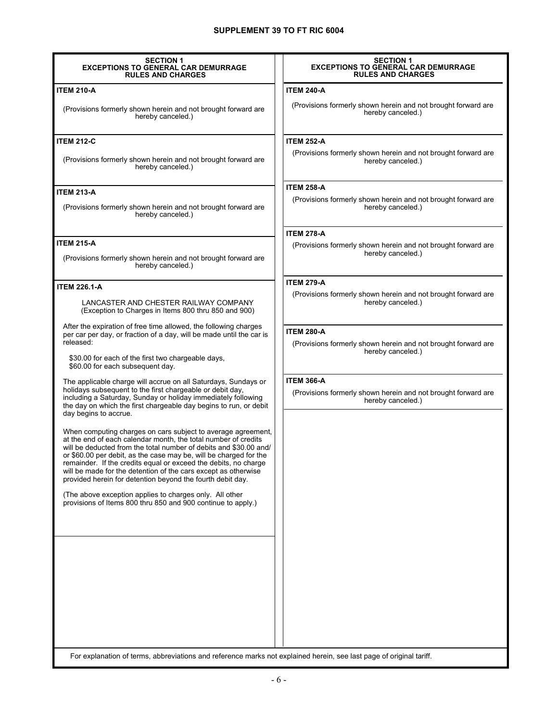| <b>SECTION 1</b><br><b>EXCEPTIONS TO GENERAL CAR DEMURRAGE</b><br><b>RULES AND CHARGES</b>                                                                                                                                                                                                                                                                                                                                                                                  | <b>SECTION 1</b><br><b>EXCEPTIONS TO GENERAL CAR DEMURRAGE</b><br><b>RULES AND CHARGES</b> |
|-----------------------------------------------------------------------------------------------------------------------------------------------------------------------------------------------------------------------------------------------------------------------------------------------------------------------------------------------------------------------------------------------------------------------------------------------------------------------------|--------------------------------------------------------------------------------------------|
| <b>ITEM 210-A</b>                                                                                                                                                                                                                                                                                                                                                                                                                                                           | <b>ITEM 240-A</b>                                                                          |
| (Provisions formerly shown herein and not brought forward are<br>hereby canceled.)                                                                                                                                                                                                                                                                                                                                                                                          | (Provisions formerly shown herein and not brought forward are<br>hereby canceled.)         |
| <b>ITEM 212-C</b>                                                                                                                                                                                                                                                                                                                                                                                                                                                           | <b>ITEM 252-A</b>                                                                          |
| (Provisions formerly shown herein and not brought forward are<br>hereby canceled.)                                                                                                                                                                                                                                                                                                                                                                                          | (Provisions formerly shown herein and not brought forward are<br>hereby canceled.)         |
| <b>ITEM 213-A</b>                                                                                                                                                                                                                                                                                                                                                                                                                                                           | <b>ITEM 258-A</b>                                                                          |
| (Provisions formerly shown herein and not brought forward are<br>hereby canceled.)                                                                                                                                                                                                                                                                                                                                                                                          | (Provisions formerly shown herein and not brought forward are<br>hereby canceled.)         |
|                                                                                                                                                                                                                                                                                                                                                                                                                                                                             | <b>ITEM 278-A</b>                                                                          |
| <b>ITEM 215-A</b><br>(Provisions formerly shown herein and not brought forward are<br>hereby canceled.)                                                                                                                                                                                                                                                                                                                                                                     | (Provisions formerly shown herein and not brought forward are<br>hereby canceled.)         |
|                                                                                                                                                                                                                                                                                                                                                                                                                                                                             | <b>ITEM 279-A</b>                                                                          |
| <b>ITEM 226.1-A</b>                                                                                                                                                                                                                                                                                                                                                                                                                                                         | (Provisions formerly shown herein and not brought forward are                              |
| LANCASTER AND CHESTER RAILWAY COMPANY<br>(Exception to Charges in Items 800 thru 850 and 900)                                                                                                                                                                                                                                                                                                                                                                               | hereby canceled.)                                                                          |
| After the expiration of free time allowed, the following charges<br>per car per day, or fraction of a day, will be made until the car is                                                                                                                                                                                                                                                                                                                                    | <b>ITEM 280-A</b>                                                                          |
| released:                                                                                                                                                                                                                                                                                                                                                                                                                                                                   | (Provisions formerly shown herein and not brought forward are<br>hereby canceled.)         |
| \$30.00 for each of the first two chargeable days,<br>\$60.00 for each subsequent day.                                                                                                                                                                                                                                                                                                                                                                                      |                                                                                            |
| The applicable charge will accrue on all Saturdays, Sundays or                                                                                                                                                                                                                                                                                                                                                                                                              | <b>ITEM 366-A</b>                                                                          |
| holidays subsequent to the first chargeable or debit day,<br>including a Saturday, Sunday or holiday immediately following<br>the day on which the first chargeable day begins to run, or debit<br>day begins to accrue.                                                                                                                                                                                                                                                    | (Provisions formerly shown herein and not brought forward are<br>hereby canceled.)         |
| When computing charges on cars subject to average agreement,<br>at the end of each calendar month, the total number of credits<br>will be deducted from the total number of debits and \$30.00 and/<br>or \$60.00 per debit, as the case may be, will be charged for the<br>remainder. If the credits equal or exceed the debits, no charge<br>will be made for the detention of the cars except as otherwise<br>provided herein for detention beyond the fourth debit day. |                                                                                            |
| (The above exception applies to charges only. All other<br>provisions of Items 800 thru 850 and 900 continue to apply.)                                                                                                                                                                                                                                                                                                                                                     |                                                                                            |
|                                                                                                                                                                                                                                                                                                                                                                                                                                                                             |                                                                                            |
|                                                                                                                                                                                                                                                                                                                                                                                                                                                                             |                                                                                            |
|                                                                                                                                                                                                                                                                                                                                                                                                                                                                             |                                                                                            |
|                                                                                                                                                                                                                                                                                                                                                                                                                                                                             |                                                                                            |
|                                                                                                                                                                                                                                                                                                                                                                                                                                                                             |                                                                                            |
|                                                                                                                                                                                                                                                                                                                                                                                                                                                                             |                                                                                            |
| For explanation of terms, abbreviations and reference marks not explained herein, see last page of original tariff.                                                                                                                                                                                                                                                                                                                                                         |                                                                                            |

I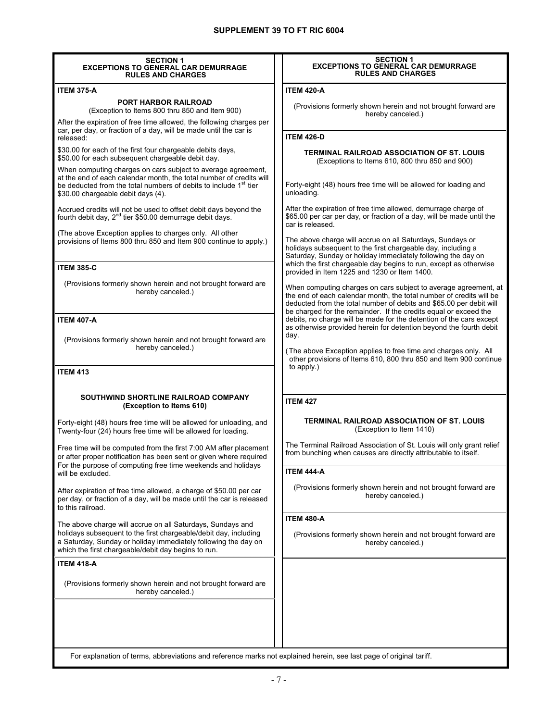| <b>SECTION 1</b><br><b>EXCEPTIONS TO GENERAL CAR DEMURRAGE</b><br><b>RULES AND CHARGES</b>                                                                                                                                                                | <b>SECTION 1</b><br><b>EXCEPTIONS TO GENERAL CAR DEMURRAGE</b><br><b>RULES AND CHARGES</b>                                                                                                                                                                                        |
|-----------------------------------------------------------------------------------------------------------------------------------------------------------------------------------------------------------------------------------------------------------|-----------------------------------------------------------------------------------------------------------------------------------------------------------------------------------------------------------------------------------------------------------------------------------|
| <b>ITEM 375-A</b>                                                                                                                                                                                                                                         | <b>ITEM 420-A</b>                                                                                                                                                                                                                                                                 |
| <b>PORT HARBOR RAILROAD</b><br>(Exception to Items 800 thru 850 and Item 900)                                                                                                                                                                             | (Provisions formerly shown herein and not brought forward are<br>hereby canceled.)                                                                                                                                                                                                |
| After the expiration of free time allowed, the following charges per<br>car, per day, or fraction of a day, will be made until the car is<br>released:                                                                                                    | <b>ITEM 426-D</b>                                                                                                                                                                                                                                                                 |
| \$30.00 for each of the first four chargeable debits days,                                                                                                                                                                                                |                                                                                                                                                                                                                                                                                   |
| \$50.00 for each subsequent chargeable debit day.                                                                                                                                                                                                         | TERMINAL RAILROAD ASSOCIATION OF ST. LOUIS<br>(Exceptions to Items 610, 800 thru 850 and 900)                                                                                                                                                                                     |
| When computing charges on cars subject to average agreement,<br>at the end of each calendar month, the total number of credits will<br>be deducted from the total numbers of debits to include 1 <sup>st</sup> tier<br>\$30.00 chargeable debit days (4). | Forty-eight (48) hours free time will be allowed for loading and<br>unloading.                                                                                                                                                                                                    |
| Accrued credits will not be used to offset debit days beyond the<br>fourth debit day, 2 <sup>nd</sup> tier \$50.00 demurrage debit days.                                                                                                                  | After the expiration of free time allowed, demurrage charge of<br>\$65.00 per car per day, or fraction of a day, will be made until the<br>car is released.                                                                                                                       |
| (The above Exception applies to charges only. All other<br>provisions of Items 800 thru 850 and Item 900 continue to apply.)                                                                                                                              | The above charge will accrue on all Saturdays, Sundays or<br>holidays subsequent to the first chargeable day, including a<br>Saturday, Sunday or holiday immediately following the day on<br>which the first chargeable day begins to run, except as otherwise                    |
| <b>ITEM 385-C</b>                                                                                                                                                                                                                                         | provided in Item 1225 and 1230 or Item 1400.                                                                                                                                                                                                                                      |
| (Provisions formerly shown herein and not brought forward are<br>hereby canceled.)                                                                                                                                                                        | When computing charges on cars subject to average agreement, at<br>the end of each calendar month, the total number of credits will be<br>deducted from the total number of debits and \$65.00 per debit will<br>be charged for the remainder. If the credits equal or exceed the |
| <b>ITEM 407-A</b>                                                                                                                                                                                                                                         | debits, no charge will be made for the detention of the cars except<br>as otherwise provided herein for detention beyond the fourth debit                                                                                                                                         |
| (Provisions formerly shown herein and not brought forward are<br>hereby canceled.)                                                                                                                                                                        | day.<br>(The above Exception applies to free time and charges only. All<br>other provisions of Items 610, 800 thru 850 and Item 900 continue                                                                                                                                      |
| <b>ITEM 413</b>                                                                                                                                                                                                                                           | to apply.)                                                                                                                                                                                                                                                                        |
| SOUTHWIND SHORTLINE RAILROAD COMPANY<br>(Exception to Items 610)                                                                                                                                                                                          | <b>ITEM 427</b>                                                                                                                                                                                                                                                                   |
| Forty-eight (48) hours free time will be allowed for unloading, and<br>Twenty-four (24) hours free time will be allowed for loading.                                                                                                                      | <b>TERMINAL RAILROAD ASSOCIATION OF ST. LOUIS</b><br>(Exception to Item 1410)                                                                                                                                                                                                     |
| Free time will be computed from the first 7:00 AM after placement<br>or after proper notification has been sent or given where required                                                                                                                   | The Terminal Railroad Association of St. Louis will only grant relief<br>from bunching when causes are directly attributable to itself.                                                                                                                                           |
| For the purpose of computing free time weekends and holidays<br>will be excluded.                                                                                                                                                                         | <b>ITEM 444-A</b>                                                                                                                                                                                                                                                                 |
| After expiration of free time allowed, a charge of \$50.00 per car<br>per day, or fraction of a day, will be made until the car is released<br>to this railroad.                                                                                          | (Provisions formerly shown herein and not brought forward are<br>hereby canceled.)                                                                                                                                                                                                |
|                                                                                                                                                                                                                                                           | <b>ITEM 480-A</b>                                                                                                                                                                                                                                                                 |
| The above charge will accrue on all Saturdays, Sundays and<br>holidays subsequent to the first chargeable/debit day, including<br>a Saturday, Sunday or holiday immediately following the day on<br>which the first chargeable/debit day begins to run.   | (Provisions formerly shown herein and not brought forward are<br>hereby canceled.)                                                                                                                                                                                                |
| <b>ITEM 418-A</b>                                                                                                                                                                                                                                         |                                                                                                                                                                                                                                                                                   |
| (Provisions formerly shown herein and not brought forward are<br>hereby canceled.)                                                                                                                                                                        |                                                                                                                                                                                                                                                                                   |
|                                                                                                                                                                                                                                                           |                                                                                                                                                                                                                                                                                   |
| For explanation of terms, abbreviations and reference marks not explained herein, see last page of original tariff.                                                                                                                                       |                                                                                                                                                                                                                                                                                   |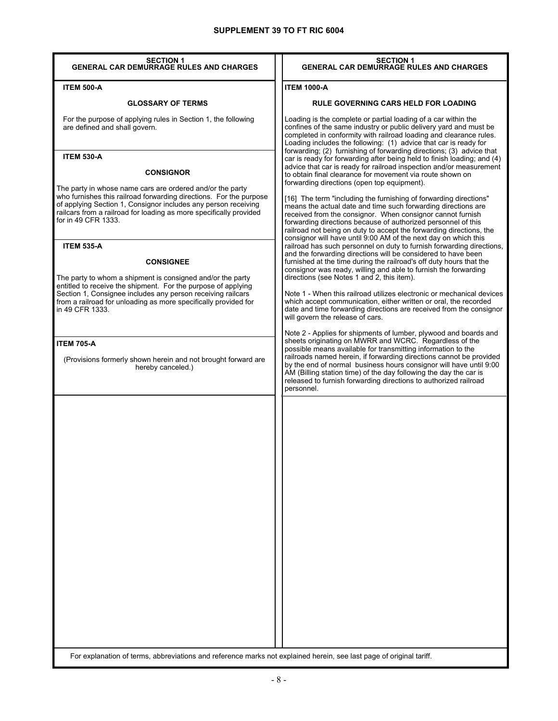| <b>SECTION 1</b><br><b>GENERAL CAR DEMURRAGE RULES AND CHARGES</b>                                                                                                                                                                                                                                                                                                                                                                                                                                                                                                                                                                                                                                                                                                              | <b>SECTION 1</b><br><b>GENERAL CAR DEMURRAGE RULES AND CHARGES</b>                                                                                                                                                                                                                                                                                                                                                                                                                                                                                                                                                                                                                                                                                                                                                                                                                                                                                                                                                                                                                                                                                                                                                                                                                                                                                                                                                                                                                                                                                                                                                                                                                                                                                                                                                                            |
|---------------------------------------------------------------------------------------------------------------------------------------------------------------------------------------------------------------------------------------------------------------------------------------------------------------------------------------------------------------------------------------------------------------------------------------------------------------------------------------------------------------------------------------------------------------------------------------------------------------------------------------------------------------------------------------------------------------------------------------------------------------------------------|-----------------------------------------------------------------------------------------------------------------------------------------------------------------------------------------------------------------------------------------------------------------------------------------------------------------------------------------------------------------------------------------------------------------------------------------------------------------------------------------------------------------------------------------------------------------------------------------------------------------------------------------------------------------------------------------------------------------------------------------------------------------------------------------------------------------------------------------------------------------------------------------------------------------------------------------------------------------------------------------------------------------------------------------------------------------------------------------------------------------------------------------------------------------------------------------------------------------------------------------------------------------------------------------------------------------------------------------------------------------------------------------------------------------------------------------------------------------------------------------------------------------------------------------------------------------------------------------------------------------------------------------------------------------------------------------------------------------------------------------------------------------------------------------------------------------------------------------------|
| <b>ITEM 500-A</b>                                                                                                                                                                                                                                                                                                                                                                                                                                                                                                                                                                                                                                                                                                                                                               | <b>ITEM 1000-A</b>                                                                                                                                                                                                                                                                                                                                                                                                                                                                                                                                                                                                                                                                                                                                                                                                                                                                                                                                                                                                                                                                                                                                                                                                                                                                                                                                                                                                                                                                                                                                                                                                                                                                                                                                                                                                                            |
| <b>GLOSSARY OF TERMS</b>                                                                                                                                                                                                                                                                                                                                                                                                                                                                                                                                                                                                                                                                                                                                                        | <b>RULE GOVERNING CARS HELD FOR LOADING</b>                                                                                                                                                                                                                                                                                                                                                                                                                                                                                                                                                                                                                                                                                                                                                                                                                                                                                                                                                                                                                                                                                                                                                                                                                                                                                                                                                                                                                                                                                                                                                                                                                                                                                                                                                                                                   |
| For the purpose of applying rules in Section 1, the following<br>are defined and shall govern.                                                                                                                                                                                                                                                                                                                                                                                                                                                                                                                                                                                                                                                                                  | Loading is the complete or partial loading of a car within the<br>confines of the same industry or public delivery yard and must be<br>completed in conformity with railroad loading and clearance rules.<br>Loading includes the following: (1) advice that car is ready for                                                                                                                                                                                                                                                                                                                                                                                                                                                                                                                                                                                                                                                                                                                                                                                                                                                                                                                                                                                                                                                                                                                                                                                                                                                                                                                                                                                                                                                                                                                                                                 |
| <b>ITEM 530-A</b><br><b>CONSIGNOR</b><br>The party in whose name cars are ordered and/or the party<br>who furnishes this railroad forwarding directions. For the purpose<br>of applying Section 1, Consignor includes any person receiving<br>railcars from a railroad for loading as more specifically provided<br>for in 49 CFR 1333.<br><b>ITEM 535-A</b><br><b>CONSIGNEE</b><br>The party to whom a shipment is consigned and/or the party<br>entitled to receive the shipment. For the purpose of applying<br>Section 1, Consignee includes any person receiving railcars<br>from a railroad for unloading as more specifically provided for<br>in 49 CFR 1333.<br><b>ITEM 705-A</b><br>(Provisions formerly shown herein and not brought forward are<br>hereby canceled.) | forwarding; (2) furnishing of forwarding directions; (3) advice that<br>car is ready for forwarding after being held to finish loading; and (4)<br>advice that car is ready for railroad inspection and/or measurement<br>to obtain final clearance for movement via route shown on<br>forwarding directions (open top equipment).<br>[16] The term "including the furnishing of forwarding directions"<br>means the actual date and time such forwarding directions are<br>received from the consignor. When consignor cannot furnish<br>forwarding directions because of authorized personnel of this<br>railroad not being on duty to accept the forwarding directions, the<br>consignor will have until 9:00 AM of the next day on which this<br>railroad has such personnel on duty to furnish forwarding directions,<br>and the forwarding directions will be considered to have been<br>furnished at the time during the railroad's off duty hours that the<br>consignor was ready, willing and able to furnish the forwarding<br>directions (see Notes 1 and 2, this item).<br>Note 1 - When this railroad utilizes electronic or mechanical devices<br>which accept communication, either written or oral, the recorded<br>date and time forwarding directions are received from the consignor<br>will govern the release of cars.<br>Note 2 - Applies for shipments of lumber, plywood and boards and<br>sheets originating on MWRR and WCRC. Regardless of the<br>possible means available for transmitting information to the<br>railroads named herein, if forwarding directions cannot be provided<br>by the end of normal business hours consignor will have until 9:00<br>AM (Billing station time) of the day following the day the car is<br>released to furnish forwarding directions to authorized railroad<br>personnel. |
|                                                                                                                                                                                                                                                                                                                                                                                                                                                                                                                                                                                                                                                                                                                                                                                 |                                                                                                                                                                                                                                                                                                                                                                                                                                                                                                                                                                                                                                                                                                                                                                                                                                                                                                                                                                                                                                                                                                                                                                                                                                                                                                                                                                                                                                                                                                                                                                                                                                                                                                                                                                                                                                               |
| For explanation of terms, abbreviations and reference marks not explained herein, see last page of original tariff.                                                                                                                                                                                                                                                                                                                                                                                                                                                                                                                                                                                                                                                             |                                                                                                                                                                                                                                                                                                                                                                                                                                                                                                                                                                                                                                                                                                                                                                                                                                                                                                                                                                                                                                                                                                                                                                                                                                                                                                                                                                                                                                                                                                                                                                                                                                                                                                                                                                                                                                               |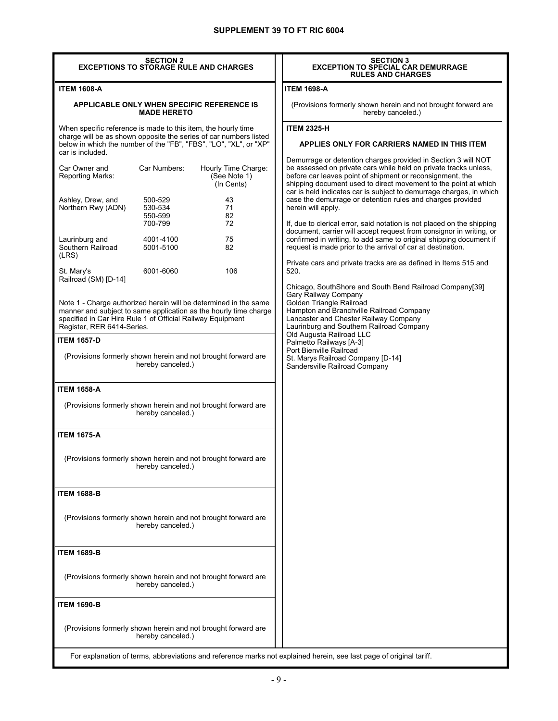| <b>SECTION 2</b><br><b>EXCEPTIONS TO STORAGE RULE AND CHARGES</b>                                                                                                                                                                                        |                                                                                    |                                                                                                                                        | <b>SECTION 3</b><br><b>EXCEPTION TO SPECIAL CAR DEMURRAGE</b><br><b>RULES AND CHARGES</b>                                                                                                                                                                                                                                                                                                                                                                                                                                                                                                                                                                                                                          |
|----------------------------------------------------------------------------------------------------------------------------------------------------------------------------------------------------------------------------------------------------------|------------------------------------------------------------------------------------|----------------------------------------------------------------------------------------------------------------------------------------|--------------------------------------------------------------------------------------------------------------------------------------------------------------------------------------------------------------------------------------------------------------------------------------------------------------------------------------------------------------------------------------------------------------------------------------------------------------------------------------------------------------------------------------------------------------------------------------------------------------------------------------------------------------------------------------------------------------------|
| <b>ITEM 1608-A</b>                                                                                                                                                                                                                                       |                                                                                    |                                                                                                                                        | <b>ITEM 1698-A</b>                                                                                                                                                                                                                                                                                                                                                                                                                                                                                                                                                                                                                                                                                                 |
| <b>APPLICABLE ONLY WHEN SPECIFIC REFERENCE IS</b><br><b>MADE HERETO</b>                                                                                                                                                                                  |                                                                                    |                                                                                                                                        | (Provisions formerly shown herein and not brought forward are<br>hereby canceled.)                                                                                                                                                                                                                                                                                                                                                                                                                                                                                                                                                                                                                                 |
| When specific reference is made to this item, the hourly time<br>car is included.                                                                                                                                                                        |                                                                                    | charge will be as shown opposite the series of car numbers listed<br>below in which the number of the "FB", "FBS", "LO", "XL", or "XP" | <b>ITEM 2325-H</b><br>APPLIES ONLY FOR CARRIERS NAMED IN THIS ITEM                                                                                                                                                                                                                                                                                                                                                                                                                                                                                                                                                                                                                                                 |
| Car Owner and<br><b>Reporting Marks:</b><br>Ashley, Drew, and<br>Northern Rwy (ADN)<br>Laurinburg and<br>Southern Railroad                                                                                                                               | Car Numbers:<br>500-529<br>530-534<br>550-599<br>700-799<br>4001-4100<br>5001-5100 | Hourly Time Charge:<br>(See Note 1)<br>(In Cents)<br>43<br>71<br>82<br>72<br>75<br>82                                                  | Demurrage or detention charges provided in Section 3 will NOT<br>be assessed on private cars while held on private tracks unless,<br>before car leaves point of shipment or reconsignment, the<br>shipping document used to direct movement to the point at which<br>car is held indicates car is subject to demurrage charges, in which<br>case the demurrage or detention rules and charges provided<br>herein will apply.<br>If, due to clerical error, said notation is not placed on the shipping<br>document, carrier will accept request from consignor in writing, or<br>confirmed in writing, to add same to original shipping document if<br>request is made prior to the arrival of car at destination. |
| (LRS)<br>St. Mary's                                                                                                                                                                                                                                      | 6001-6060                                                                          | 106                                                                                                                                    | Private cars and private tracks are as defined in Items 515 and<br>520.                                                                                                                                                                                                                                                                                                                                                                                                                                                                                                                                                                                                                                            |
| Railroad (SM) [D-14]<br>Note 1 - Charge authorized herein will be determined in the same<br>manner and subject to same application as the hourly time charge<br>specified in Car Hire Rule 1 of Official Railway Equipment<br>Register, RER 6414-Series. |                                                                                    |                                                                                                                                        | Chicago, SouthShore and South Bend Railroad Company[39]<br>Gary Railway Company<br>Golden Triangle Railroad<br>Hampton and Branchville Railroad Company<br>Lancaster and Chester Railway Company<br>Laurinburg and Southern Railroad Company<br>Old Augusta Railroad LLC                                                                                                                                                                                                                                                                                                                                                                                                                                           |
| <b>ITEM 1657-D</b><br>(Provisions formerly shown herein and not brought forward are<br>hereby canceled.)<br><b>ITEM 1658-A</b>                                                                                                                           |                                                                                    |                                                                                                                                        | Palmetto Railways [A-3]<br>Port Bienville Railroad<br>St. Marys Railroad Company [D-14]<br>Sandersville Railroad Company                                                                                                                                                                                                                                                                                                                                                                                                                                                                                                                                                                                           |
| (Provisions formerly shown herein and not brought forward are<br>hereby canceled.)<br><b>ITEM 1675-A</b>                                                                                                                                                 |                                                                                    |                                                                                                                                        |                                                                                                                                                                                                                                                                                                                                                                                                                                                                                                                                                                                                                                                                                                                    |
|                                                                                                                                                                                                                                                          | hereby canceled.)                                                                  | (Provisions formerly shown herein and not brought forward are                                                                          |                                                                                                                                                                                                                                                                                                                                                                                                                                                                                                                                                                                                                                                                                                                    |
| <b>ITEM 1688-B</b>                                                                                                                                                                                                                                       |                                                                                    |                                                                                                                                        |                                                                                                                                                                                                                                                                                                                                                                                                                                                                                                                                                                                                                                                                                                                    |
| (Provisions formerly shown herein and not brought forward are<br>hereby canceled.)                                                                                                                                                                       |                                                                                    |                                                                                                                                        |                                                                                                                                                                                                                                                                                                                                                                                                                                                                                                                                                                                                                                                                                                                    |
| <b>ITEM 1689-B</b>                                                                                                                                                                                                                                       |                                                                                    |                                                                                                                                        |                                                                                                                                                                                                                                                                                                                                                                                                                                                                                                                                                                                                                                                                                                                    |
| (Provisions formerly shown herein and not brought forward are<br>hereby canceled.)                                                                                                                                                                       |                                                                                    |                                                                                                                                        |                                                                                                                                                                                                                                                                                                                                                                                                                                                                                                                                                                                                                                                                                                                    |
| <b>ITEM 1690-B</b>                                                                                                                                                                                                                                       |                                                                                    |                                                                                                                                        |                                                                                                                                                                                                                                                                                                                                                                                                                                                                                                                                                                                                                                                                                                                    |
|                                                                                                                                                                                                                                                          | hereby canceled.)                                                                  | (Provisions formerly shown herein and not brought forward are                                                                          |                                                                                                                                                                                                                                                                                                                                                                                                                                                                                                                                                                                                                                                                                                                    |
|                                                                                                                                                                                                                                                          |                                                                                    |                                                                                                                                        | For explanation of terms, abbreviations and reference marks not explained herein, see last page of original tariff.                                                                                                                                                                                                                                                                                                                                                                                                                                                                                                                                                                                                |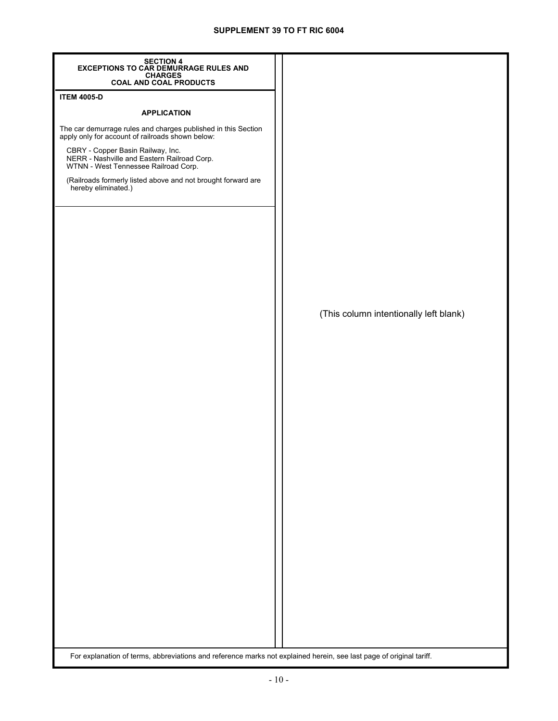| <b>SECTION 4</b><br><b>EXCEPTIONS TO CAR DEMURRAGE RULES AND</b>                                                         |                                        |
|--------------------------------------------------------------------------------------------------------------------------|----------------------------------------|
| CHARGES<br>COAL AND COAL PRODUCTS                                                                                        |                                        |
| <b>ITEM 4005-D</b>                                                                                                       |                                        |
| <b>APPLICATION</b>                                                                                                       |                                        |
| The car demurrage rules and charges published in this Section<br>apply only for account of railroads shown below:        |                                        |
| CBRY - Copper Basin Railway, Inc.<br>NERR - Nashville and Eastern Railroad Corp.<br>WTNN - West Tennessee Railroad Corp. |                                        |
| (Railroads formerly listed above and not brought forward are<br>hereby eliminated.)                                      |                                        |
|                                                                                                                          |                                        |
|                                                                                                                          |                                        |
|                                                                                                                          |                                        |
|                                                                                                                          |                                        |
|                                                                                                                          | (This column intentionally left blank) |
|                                                                                                                          |                                        |
|                                                                                                                          |                                        |
|                                                                                                                          |                                        |
|                                                                                                                          |                                        |
|                                                                                                                          |                                        |
|                                                                                                                          |                                        |
|                                                                                                                          |                                        |
|                                                                                                                          |                                        |
|                                                                                                                          |                                        |
|                                                                                                                          |                                        |
|                                                                                                                          |                                        |
|                                                                                                                          |                                        |
| For explanation of terms, abbreviations and reference marks not explained herein, see last page of original tariff.      |                                        |